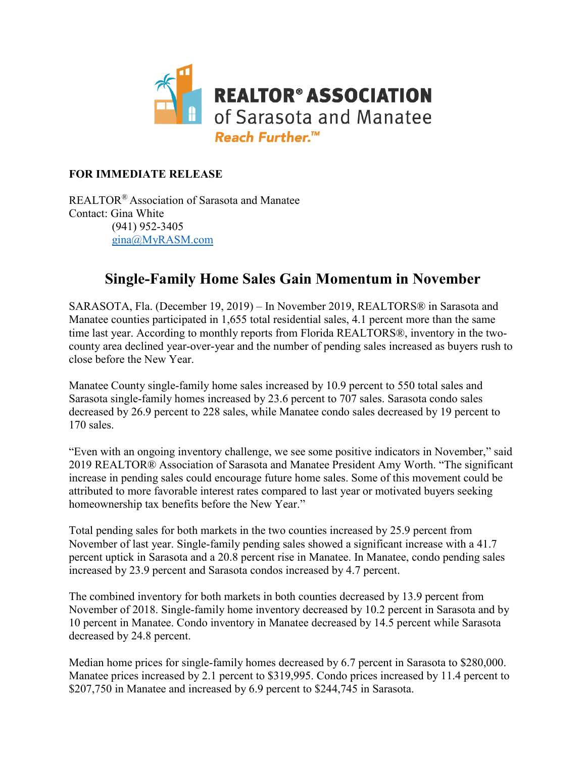

### **FOR IMMEDIATE RELEASE**

REALTOR® Association of Sarasota and Manatee Contact: Gina White (941) 952-3405 [gina@MyRASM.com](mailto:gina@MyRASM.com)

### **Single-Family Home Sales Gain Momentum in November**

SARASOTA, Fla. (December 19, 2019) – In November 2019, REALTORS® in Sarasota and Manatee counties participated in 1,655 total residential sales, 4.1 percent more than the same time last year. According to monthly reports from Florida REALTORS®, inventory in the twocounty area declined year-over-year and the number of pending sales increased as buyers rush to close before the New Year.

Manatee County single-family home sales increased by 10.9 percent to 550 total sales and Sarasota single-family homes increased by 23.6 percent to 707 sales. Sarasota condo sales decreased by 26.9 percent to 228 sales, while Manatee condo sales decreased by 19 percent to 170 sales.

"Even with an ongoing inventory challenge, we see some positive indicators in November," said 2019 REALTOR® Association of Sarasota and Manatee President Amy Worth. "The significant increase in pending sales could encourage future home sales. Some of this movement could be attributed to more favorable interest rates compared to last year or motivated buyers seeking homeownership tax benefits before the New Year."

Total pending sales for both markets in the two counties increased by 25.9 percent from November of last year. Single-family pending sales showed a significant increase with a 41.7 percent uptick in Sarasota and a 20.8 percent rise in Manatee. In Manatee, condo pending sales increased by 23.9 percent and Sarasota condos increased by 4.7 percent.

The combined inventory for both markets in both counties decreased by 13.9 percent from November of 2018. Single-family home inventory decreased by 10.2 percent in Sarasota and by 10 percent in Manatee. Condo inventory in Manatee decreased by 14.5 percent while Sarasota decreased by 24.8 percent.

Median home prices for single-family homes decreased by 6.7 percent in Sarasota to \$280,000. Manatee prices increased by 2.1 percent to \$319,995. Condo prices increased by 11.4 percent to \$207,750 in Manatee and increased by 6.9 percent to \$244,745 in Sarasota.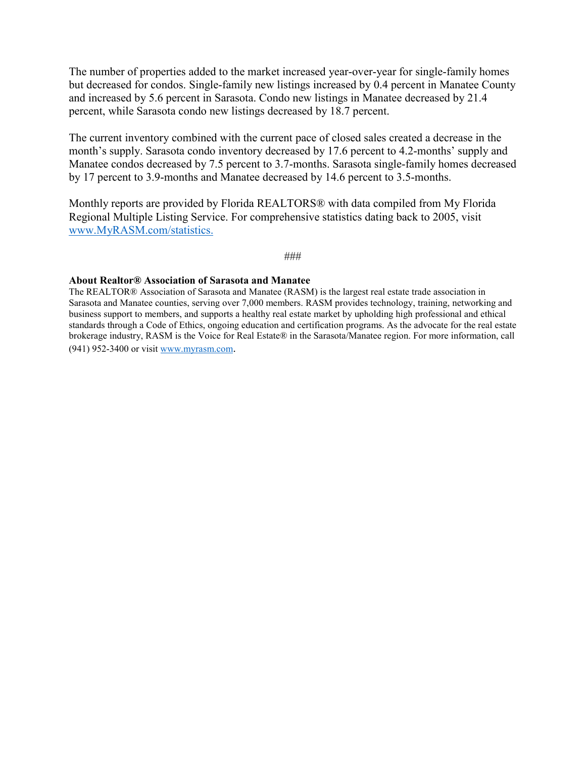The number of properties added to the market increased year-over-year for single-family homes but decreased for condos. Single-family new listings increased by 0.4 percent in Manatee County and increased by 5.6 percent in Sarasota. Condo new listings in Manatee decreased by 21.4 percent, while Sarasota condo new listings decreased by 18.7 percent.

The current inventory combined with the current pace of closed sales created a decrease in the month's supply. Sarasota condo inventory decreased by 17.6 percent to 4.2-months' supply and Manatee condos decreased by 7.5 percent to 3.7-months. Sarasota single-family homes decreased by 17 percent to 3.9-months and Manatee decreased by 14.6 percent to 3.5-months.

Monthly reports are provided by Florida REALTORS® with data compiled from My Florida Regional Multiple Listing Service. For comprehensive statistics dating back to 2005, visit [www.MyRASM.com/statistics.](http://www.myrasm.com/statistics)

#### ###

#### **About Realtor® Association of Sarasota and Manatee**

The REALTOR® Association of Sarasota and Manatee (RASM) is the largest real estate trade association in Sarasota and Manatee counties, serving over 7,000 members. RASM provides technology, training, networking and business support to members, and supports a healthy real estate market by upholding high professional and ethical standards through a Code of Ethics, ongoing education and certification programs. As the advocate for the real estate brokerage industry, RASM is the Voice for Real Estate® in the Sarasota/Manatee region. For more information, call (941) 952-3400 or visi[t www.myrasm.com.](http://www.myrasm.com/)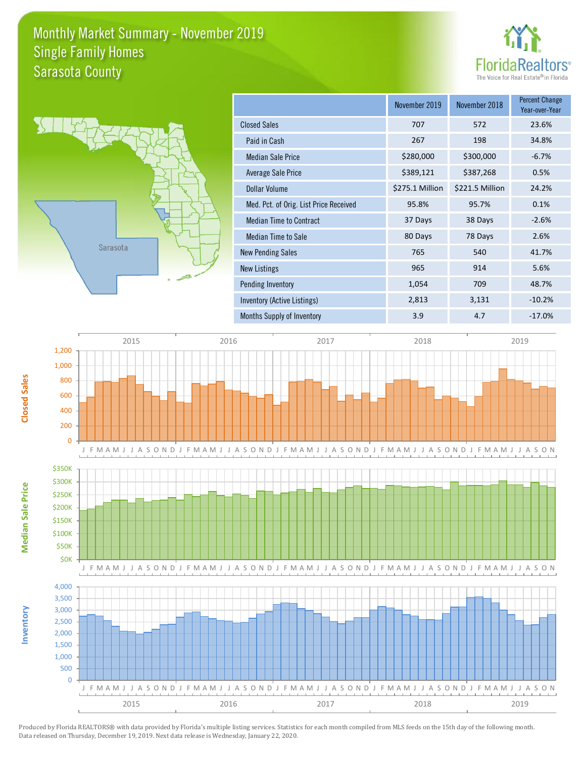### Monthly Market Summary - November 2019 Sarasota County Single Family Homes



**November 2019 November 2019 November 2019 November 2019 November 2019 November 2019 November 2019 Percent** Change



|                                        | November 2019   | November 2018   | Year-over-Year |
|----------------------------------------|-----------------|-----------------|----------------|
| <b>Closed Sales</b>                    | 707             | 572             | 23.6%          |
| Paid in Cash                           | 267             | 198             | 34.8%          |
| <b>Median Sale Price</b>               | \$280,000       | \$300,000       | $-6.7%$        |
| Average Sale Price                     | \$389,121       | \$387,268       | 0.5%           |
| <b>Dollar Volume</b>                   | \$275.1 Million | \$221.5 Million | 24.2%          |
| Med. Pct. of Orig. List Price Received | 95.8%           | 95.7%           | 0.1%           |
| <b>Median Time to Contract</b>         | 37 Days         | 38 Days         | $-2.6%$        |
| Median Time to Sale                    | 80 Days         | 78 Days         | 2.6%           |
| <b>New Pending Sales</b>               | 765             | 540             | 41.7%          |
| New Listings                           | 965             | 914             | 5.6%           |
| Pending Inventory                      | 1,054           | 709             | 48.7%          |
| Inventory (Active Listings)            | 2,813           | 3,131           | $-10.2%$       |
| Months Supply of Inventory             | 3.9             | 4.7             | $-17.0%$       |

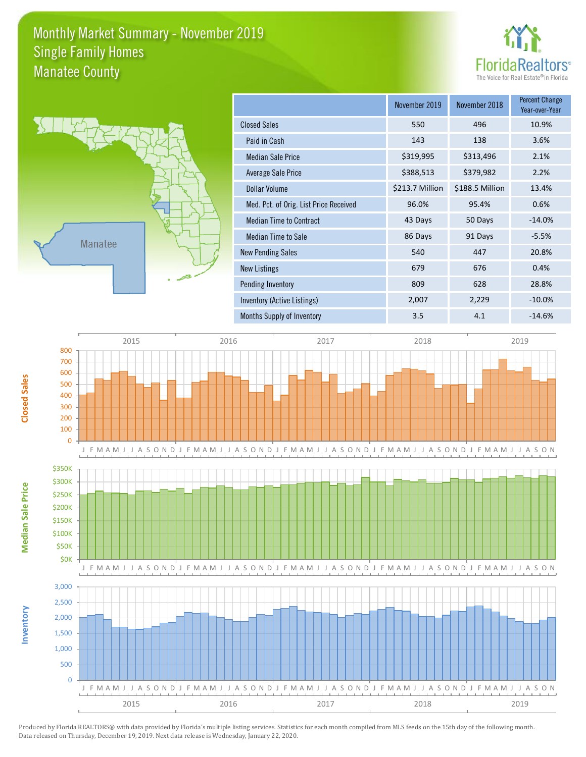### Monthly Market Summary - November 2019 Manatee County Single Family Homes





**Inventory**

**Median Sale Price**

**Median Sale Price** 

**Closed Sales**

|                                        | November 2019   | November 2018   | <b>Percent Change</b><br>Year-over-Year |
|----------------------------------------|-----------------|-----------------|-----------------------------------------|
| <b>Closed Sales</b>                    | 550             | 496             | 10.9%                                   |
| Paid in Cash                           | 143             | 138             | 3.6%                                    |
| <b>Median Sale Price</b>               | \$319,995       | \$313,496       | 2.1%                                    |
| Average Sale Price                     | \$388,513       | \$379,982       | 2.2%                                    |
| Dollar Volume                          | \$213.7 Million | \$188.5 Million | 13.4%                                   |
| Med. Pct. of Orig. List Price Received | 96.0%           | 95.4%           | 0.6%                                    |
| <b>Median Time to Contract</b>         | 43 Days         | 50 Days         | $-14.0%$                                |
| Median Time to Sale                    | 86 Days         | 91 Days         | $-5.5%$                                 |
| <b>New Pending Sales</b>               | 540             | 447             | 20.8%                                   |
| <b>New Listings</b>                    | 679             | 676             | 0.4%                                    |
| Pending Inventory                      | 809             | 628             | 28.8%                                   |
| Inventory (Active Listings)            | 2,007           | 2,229           | $-10.0%$                                |
| Months Supply of Inventory             | 3.5             | 4.1             | $-14.6%$                                |

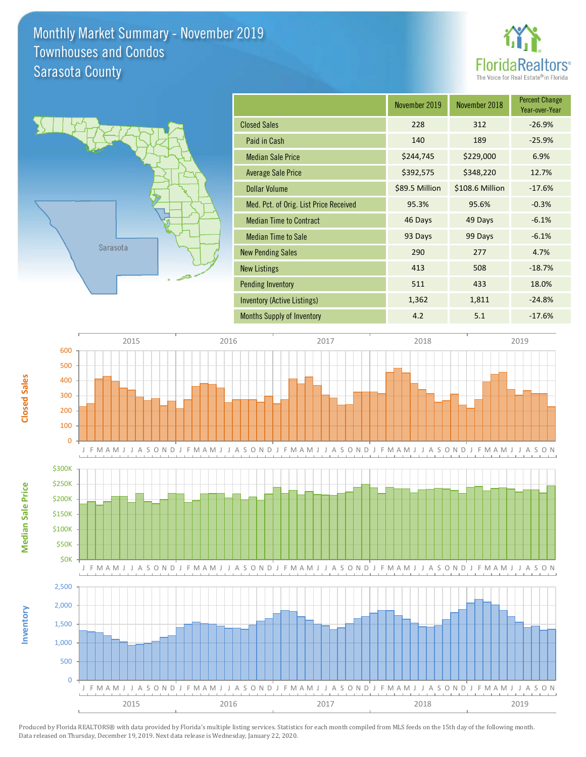### Monthly Market Summary - November 2019 Sarasota County Townhouses and Condos





|                                        | November 2019  | November 2018   | <b>Percent Change</b><br>Year-over-Year |
|----------------------------------------|----------------|-----------------|-----------------------------------------|
| <b>Closed Sales</b>                    | 228            | 312             | $-26.9%$                                |
| Paid in Cash                           | 140            | 189             | $-25.9%$                                |
| <b>Median Sale Price</b>               | \$244,745      | \$229,000       | 6.9%                                    |
| <b>Average Sale Price</b>              | \$392,575      | \$348,220       | 12.7%                                   |
| <b>Dollar Volume</b>                   | \$89.5 Million | \$108.6 Million | $-17.6%$                                |
| Med. Pct. of Orig. List Price Received | 95.3%          | 95.6%           | $-0.3%$                                 |
| <b>Median Time to Contract</b>         | 46 Days        | 49 Days         | $-6.1%$                                 |
| <b>Median Time to Sale</b>             | 93 Days        | 99 Days         | $-6.1%$                                 |
| <b>New Pending Sales</b>               | 290            | 277             | 4.7%                                    |
| <b>New Listings</b>                    | 413            | 508             | $-18.7%$                                |
| <b>Pending Inventory</b>               | 511            | 433             | 18.0%                                   |
| Inventory (Active Listings)            | 1,362          | 1,811           | $-24.8%$                                |
| <b>Months Supply of Inventory</b>      | 4.2            | 5.1             | $-17.6%$                                |

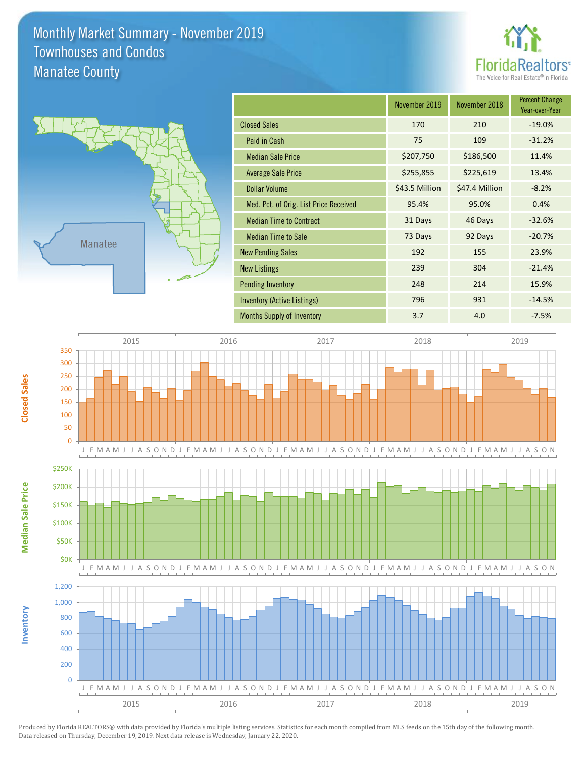## Monthly Market Summary - November 2019 Manatee County Townhouses and Condos





**Inventory**

**Median Sale Price**

**Median Sale Price** 

**Closed Sales**

|                                        | November 2019  | November 2018  | <b>Percent Change</b><br>Year-over-Year |
|----------------------------------------|----------------|----------------|-----------------------------------------|
| <b>Closed Sales</b>                    | 170            | 210            | $-19.0%$                                |
| Paid in Cash                           | 75             | 109            | $-31.2%$                                |
| <b>Median Sale Price</b>               | \$207,750      | \$186,500      | 11.4%                                   |
| <b>Average Sale Price</b>              | \$255,855      | \$225,619      | 13.4%                                   |
| <b>Dollar Volume</b>                   | \$43.5 Million | \$47.4 Million | $-8.2%$                                 |
| Med. Pct. of Orig. List Price Received | 95.4%          | 95.0%          | 0.4%                                    |
| <b>Median Time to Contract</b>         | 31 Days        | 46 Days        | $-32.6%$                                |
| <b>Median Time to Sale</b>             | 73 Days        | 92 Days        | $-20.7%$                                |
| <b>New Pending Sales</b>               | 192            | 155            | 23.9%                                   |
| <b>New Listings</b>                    | 239            | 304            | $-21.4%$                                |
| <b>Pending Inventory</b>               | 248            | 214            | 15.9%                                   |
| Inventory (Active Listings)            | 796            | 931            | $-14.5%$                                |
| <b>Months Supply of Inventory</b>      | 3.7            | 4.0            | $-7.5%$                                 |

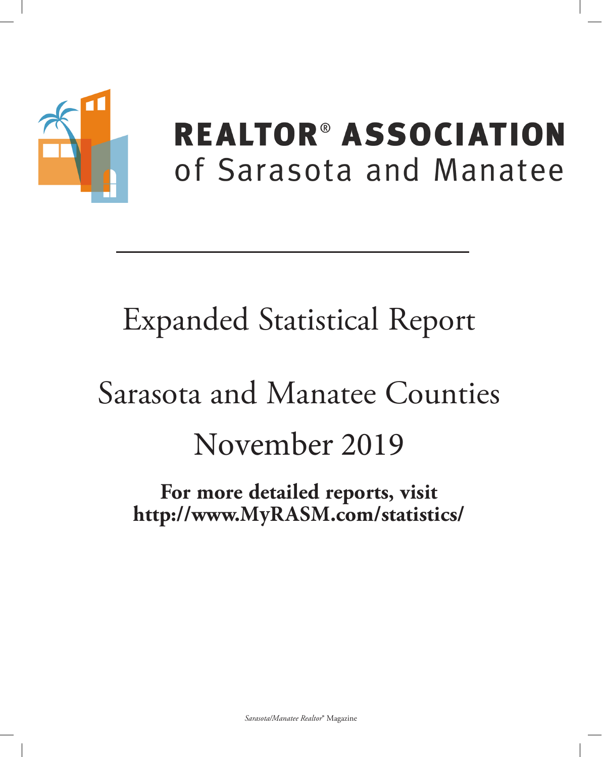

## **REALTOR® ASSOCIATION** of Sarasota and Manatee

## **Expanded Statistical Report**

# Sarasota and Manatee Counties November 2019

For more detailed reports, visit http://www.MyRASM.com/statistics/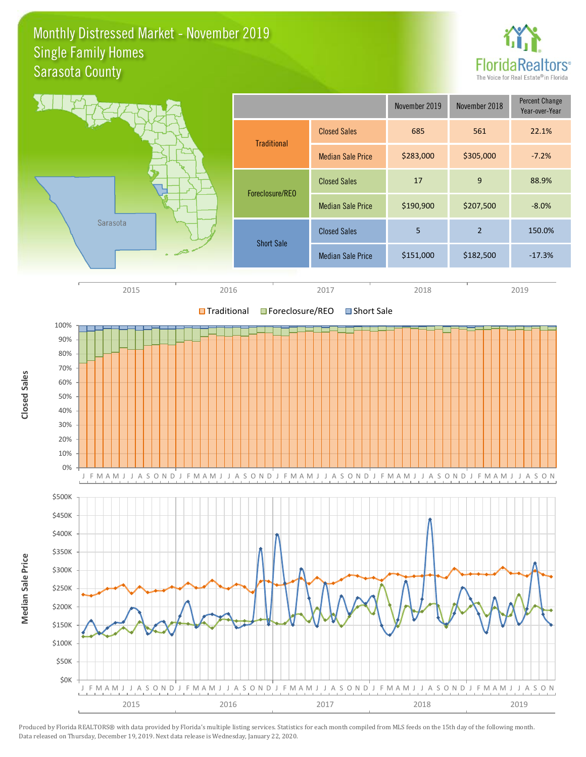### Monthly Distressed Market - November 2019 Sarasota County Single Family Homes



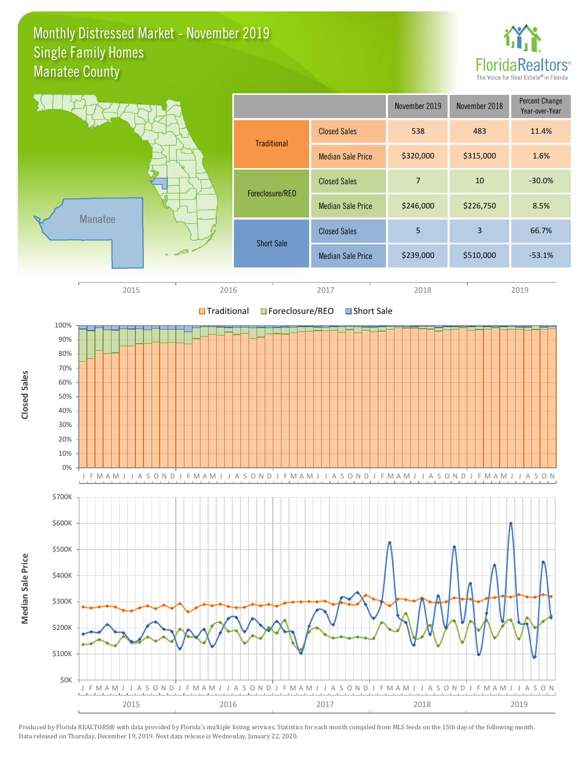### Monthly Distressed Market - November 2019 Manatee County Single Family Homes



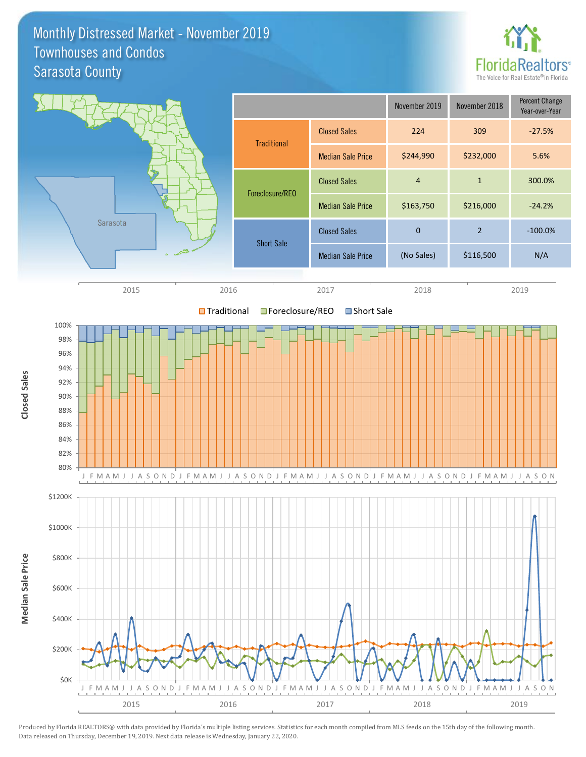### Monthly Distressed Market - November 2019 Sarasota County Townhouses and Condos